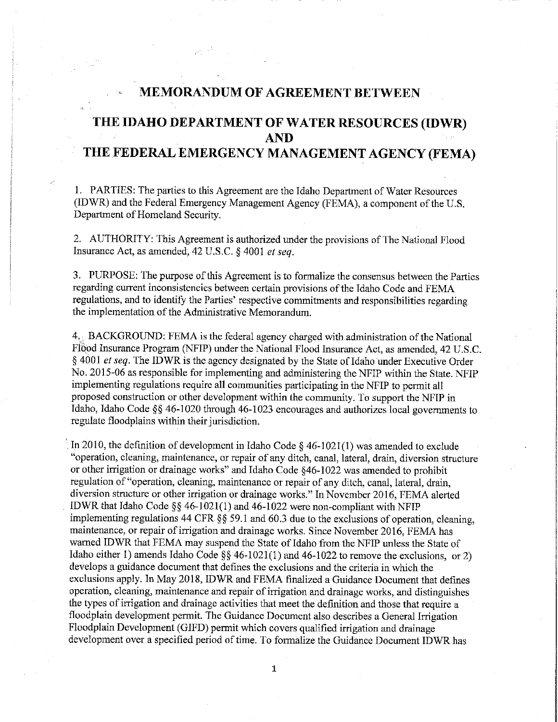## **MEMORANDUM OF AGREEMENT BETWEEN**

## **THE IDAHO DEPARTMENT OF WATER RESOURCES (IDWR) AND THE FEDERAL EMERGENCY MANAGEMENT AGENCY (FEMA)**

1. PAR TIES: The parties to this Agreement are the Idaho Department of Water Resources (IDWR) and the Federal Emergency Management Agency (FEMA), a component of the U.S. Department of Homeland Security.

2. AUTHORITY: This Agreement is authorized under the provisions of The National Flood Insurance Act, as amended, 42 U.S.C. § 4001 *et seq.* 

3. PURPOSE: The purpose of this Agreement is to formalize the consensus between the Parties regarding current inconsistencies between certain provisions of the Idaho Code and FEMA regulations, and to identify the Parties' respective commitments and responsibilities regarding the implementation of the Administrative Memorandum.

 $4_{\rm H}$  BACKGROUND: FEMA is the federal agency charged with administration of the National Flood Insurance Program (NFIP) under the National Flood Insurance Act, as amended, 42 U.S.C. § 4001 *et seq.* The IDWR is the agency designated by the State of Idaho under Executive Order No. 2015-06 as responsible for implementing and administering the NFIP within the State. NFIP implementing regulations require all communities participating in the NFIP to permit all proposed construction or other development within the community. To support the NFIP in Idaho, Idaho Code § § 46-1020 through 46-1023 encourages and authorizes local governments to regulate floodplains within their jurisdiction.

· In 2010, the definition of development in Idaho Code § 46-1021(1) was amended to exclude "operation, cleaning, maintenance, or repair of any ditch, canal, lateral, drain, diversion structure or other irrigation or drainage works" and Idaho Code §46-1022 was amended to prohibit regulation of "operation, cleaning, maintenance or repair of any ditch, canal, lateral, drain, diversion structure or other irrigation or drainage works." In November 2016, FEMA alerted IDWR that Idaho Code§§ 46-1021(1) and 46-1022 were non-compliant with NFIP implementing regulations 44 CFR *§§* 59.1 and 60.3 due to the exclusions of operation, cleaning, maintenance, or repair of irrigation and drainage works. Since November 2016, FEMA has warned IDWR that FEMA may suspend the State of Idaho from the NFIP unless the State of Idaho either 1) amends Idaho Code  $\S\S$  46-1021(1) and 46-1022 to remove the exclusions, or 2) develops a guidance document that defines the exclusions and the criteria in which the exclusions apply. In May 2018, IDWR and FEMA finalized a Guidance Document that defines operation, cleaning, maintenance and repair of irrigation and drainage works, and distinguishes the types of irrigation and drainage activities that meet the definition and those that require a floodplain development permit. The Guidance Document also describes a General Irrigation Floodplain Development (GIFD) permit which covers qualified irrigation and drainage development over a specified period of time. To formalize the Guidance Document IDWR has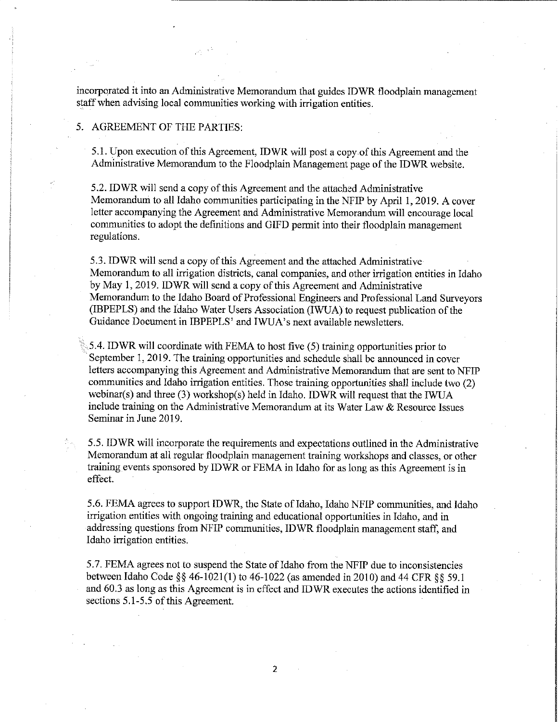incorporated it into an Administrative Memorandum that guides IDWR floodplain management staff when advising local communities working with irrigation entities.

## 5. AGREEMENT OF THE PARTIES:

5.1. Upon execution of this Agreement, IDWR will post a copy of this Agreement and the Administrative Memorandum to the Floodplain Management page of the IDWR website.

5.2. IDWR will send a copy of this Agreement and the attached Administrative Memorandum to all Idaho communities participating in the NFIP by April 1, 2019. A cover letter accompanying the Agreement and Administrative Memorandum will encourage local communities to adopt the definitions and GIFD permit into their floodplain management regulations.

5.3. IDWR will send a copy of this Agreement and the attached Administrative Memorandum to all irrigation districts, canal companies, and other irrigation entities in Idaho by May 1, 2019. IDWR will send a copy of this Agreement and Administrative Memorandum to the Idaho Board of Professional Engineers and Professional Land Surveyors (IBPEPLS) and the Idaho Water Users Association (IWUA) to request publication of the Guidance Document in IBPEPLS' and IWUA's next available newsletters.

5.4. IDWR will coordinate with FEMA to host five (5) training opportunities prior to September 1, 2019. The training opportunities and schedule shall be announced in cover letters accompanying this Agreement and Administrative Memorandum that are sent to NFIP communities and Idaho irrigation entities. Those training opportunities shall include two (2) webinar(s) and three (3) workshop(s) held in Idaho. IDWR will request that the IWUA include training on the Administrative Memorandum at its Water Law & Resource Issues Seminar in June 2019.

5.5. IDWR will incorporate the requirements and expectations outlined in the Administrative Memorandum at all regular floodplain management training workshops and classes, or other training events sponsored by IDWR or FEMA in Idaho for as long as this Agreement is in effect.

5.6. FEMA agrees to support IDWR, the State ofidaho, Idaho NFIP communities, and Idaho irrigation entities with ongoing training and educational opportunities in Idaho, and in addressing questions from NFIP communities, IDWR floodplain management staff, and Idaho irrigation entities.

5. 7. FEMA agrees not to suspend the State ofidaho from the NFIP due to inconsistencies between Idaho Code§§ 46-1021(1) to 46-1022 (as amended in 2010) and 44 CFR §§ 59.1 and 60.3 as long as this Agreement is in effect and IDWR executes the actions identified in sections 5.1-5.5 of this Agreement.